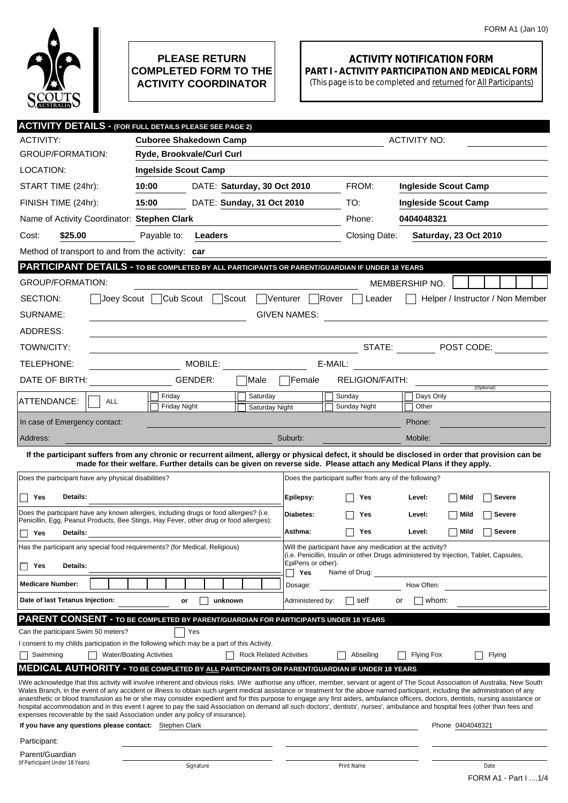

## **PLEASE RETURN COMPLETED FORM TO THE ACTIVITY COORDINATOR**

## **ACTIVITY NOTIFICATION FORM PART I - ACTIVITY PARTICIPATION AND MEDICAL FORM**

(This page is to be completed and returned for All Participants)

|                                                                                                                                                                                                                                                                                                                                                                        | <b>ACTIVITY DETAILS - (FOR FULL DETAILS PLEASE SEE PAGE 2)</b>                                                       |                                |                           |                                                           |                   |                                                                                       |  |
|------------------------------------------------------------------------------------------------------------------------------------------------------------------------------------------------------------------------------------------------------------------------------------------------------------------------------------------------------------------------|----------------------------------------------------------------------------------------------------------------------|--------------------------------|---------------------------|-----------------------------------------------------------|-------------------|---------------------------------------------------------------------------------------|--|
| <b>ACTIVITY:</b>                                                                                                                                                                                                                                                                                                                                                       | <b>Cuboree Shakedown Camp</b>                                                                                        |                                | <b>ACTIVITY NO:</b>       |                                                           |                   |                                                                                       |  |
| <b>GROUP/FORMATION:</b>                                                                                                                                                                                                                                                                                                                                                | Ryde, Brookvale/Curl Curl                                                                                            |                                |                           |                                                           |                   |                                                                                       |  |
| LOCATION:                                                                                                                                                                                                                                                                                                                                                              | <b>Ingelside Scout Camp</b>                                                                                          |                                |                           |                                                           |                   |                                                                                       |  |
| START TIME (24hr):                                                                                                                                                                                                                                                                                                                                                     | 10:00                                                                                                                | DATE: Saturday, 30 Oct 2010    |                           | FROM:                                                     |                   | <b>Ingleside Scout Camp</b>                                                           |  |
| FINISH TIME (24hr):                                                                                                                                                                                                                                                                                                                                                    | 15:00                                                                                                                | DATE: Sunday, 31 Oct 2010      |                           | TO:                                                       |                   | <b>Ingleside Scout Camp</b>                                                           |  |
| Name of Activity Coordinator: Stephen Clark                                                                                                                                                                                                                                                                                                                            |                                                                                                                      |                                |                           | Phone:                                                    | 0404048321        |                                                                                       |  |
| \$25.00<br>Cost:                                                                                                                                                                                                                                                                                                                                                       | Payable to:<br>Leaders                                                                                               |                                |                           | Closing Date:                                             |                   | <b>Saturday, 23 Oct 2010</b>                                                          |  |
| Method of transport to and from the activity: car                                                                                                                                                                                                                                                                                                                      |                                                                                                                      |                                |                           |                                                           |                   |                                                                                       |  |
| <b>PARTICIPANT DETAILS - TO BE COMPLETED BY ALL PARTICIPANTS OR PARENT/GUARDIAN IF UNDER 18 YEARS</b>                                                                                                                                                                                                                                                                  |                                                                                                                      |                                |                           |                                                           |                   |                                                                                       |  |
| <b>GROUP/FORMATION:</b>                                                                                                                                                                                                                                                                                                                                                |                                                                                                                      |                                |                           |                                                           | MEMBERSHIP NO.    |                                                                                       |  |
| SECTION:<br>Joey Scout                                                                                                                                                                                                                                                                                                                                                 | Cub Scout                                                                                                            | Scout                          | Venturer                  | Rover<br>Leader                                           |                   | Helper / Instructor / Non Member                                                      |  |
| SURNAME:                                                                                                                                                                                                                                                                                                                                                               |                                                                                                                      |                                | <b>GIVEN NAMES:</b>       |                                                           |                   |                                                                                       |  |
| ADDRESS:                                                                                                                                                                                                                                                                                                                                                               |                                                                                                                      |                                |                           |                                                           |                   |                                                                                       |  |
| TOWN/CITY:                                                                                                                                                                                                                                                                                                                                                             |                                                                                                                      |                                |                           | STATE:                                                    |                   | $\boxed{\blacksquare}$ POST CODE:                                                     |  |
| TELEPHONE:                                                                                                                                                                                                                                                                                                                                                             | MOBILE:                                                                                                              |                                |                           | E-MAIL:                                                   |                   | <u> 1989 - Andrea State Barbara, pre</u>                                              |  |
| DATE OF BIRTH:                                                                                                                                                                                                                                                                                                                                                         | GENDER:                                                                                                              | Male                           | Female                    | <b>RELIGION/FAITH:</b>                                    |                   |                                                                                       |  |
| ATTENDANCE:<br><b>ALL</b>                                                                                                                                                                                                                                                                                                                                              | Friday                                                                                                               | Saturday                       |                           | Sunday                                                    | Days Only         | (Optional)                                                                            |  |
|                                                                                                                                                                                                                                                                                                                                                                        | Friday Night                                                                                                         | Saturday Night                 |                           | Sunday Night                                              | Other             |                                                                                       |  |
| In case of Emergency contact:                                                                                                                                                                                                                                                                                                                                          |                                                                                                                      |                                |                           |                                                           | Phone:            |                                                                                       |  |
| Address:                                                                                                                                                                                                                                                                                                                                                               |                                                                                                                      |                                | Suburb:                   |                                                           | Mobile:           |                                                                                       |  |
| If the participant suffers from any chronic or recurrent ailment, allergy or physical defect, it should be disclosed in order that provision can be                                                                                                                                                                                                                    | made for their welfare. Further details can be given on reverse side. Please attach any Medical Plans if they apply. |                                |                           |                                                           |                   |                                                                                       |  |
| Does the participant have any physical disabilities?                                                                                                                                                                                                                                                                                                                   |                                                                                                                      |                                |                           | Does the participant suffer from any of the following?    |                   |                                                                                       |  |
| Details:<br>Yes                                                                                                                                                                                                                                                                                                                                                        |                                                                                                                      |                                |                           |                                                           |                   | <b>Severe</b>                                                                         |  |
|                                                                                                                                                                                                                                                                                                                                                                        |                                                                                                                      |                                | Epilepsy:                 |                                                           |                   |                                                                                       |  |
|                                                                                                                                                                                                                                                                                                                                                                        |                                                                                                                      |                                |                           | Yes                                                       | Level:            | Mild                                                                                  |  |
| Does the participant have any known allergies, including drugs or food allergies? (i.e.<br>Penicillin, Egg, Peanut Products, Bee Stings, Hay Fever, other drug or food allergies):                                                                                                                                                                                     |                                                                                                                      |                                | Diabetes:                 | Yes                                                       | Level:            | <b>Severe</b><br>Mild                                                                 |  |
| Yes<br><b>Details:</b>                                                                                                                                                                                                                                                                                                                                                 |                                                                                                                      |                                | Asthma:                   | Yes                                                       | Level:            | <b>Severe</b><br>  Mild                                                               |  |
| Has the participant any special food requirements? (for Medical, Religious)                                                                                                                                                                                                                                                                                            |                                                                                                                      |                                |                           | Will the participant have any medication at the activity? |                   | (i.e. Penicillin, Insulin or other Drugs administered by Injection, Tablet, Capsules, |  |
| Details:<br>Yes                                                                                                                                                                                                                                                                                                                                                        |                                                                                                                      |                                | EpiPens or other).<br>Yes | Name of Drug:                                             |                   |                                                                                       |  |
| <b>Medicare Number:</b>                                                                                                                                                                                                                                                                                                                                                |                                                                                                                      |                                | Dosage:                   |                                                           | How Often:        |                                                                                       |  |
| Date of last Tetanus Injection:                                                                                                                                                                                                                                                                                                                                        | or                                                                                                                   | unknown                        | Administered by:          | self                                                      | whom:<br>or       |                                                                                       |  |
| PARENT CONSENT - TO BE COMPLETED BY PARENT/GUARDIAN FOR PARTICIPANTS UNDER 18 YEARS                                                                                                                                                                                                                                                                                    |                                                                                                                      |                                |                           |                                                           |                   |                                                                                       |  |
| Can the participant Swim 50 meters?                                                                                                                                                                                                                                                                                                                                    | Yes                                                                                                                  |                                |                           |                                                           |                   |                                                                                       |  |
| I consent to my childs participation in the following which may be a part of this Activity.                                                                                                                                                                                                                                                                            |                                                                                                                      |                                |                           |                                                           |                   |                                                                                       |  |
| Swimming                                                                                                                                                                                                                                                                                                                                                               | <b>Water/Boating Activities</b>                                                                                      | <b>Rock Related Activities</b> |                           | Abseiling                                                 | <b>Flying Fox</b> | Flying                                                                                |  |
| <b>MEDICAL AUTHORITY - TO BE COMPLETED BY ALL PARTICIPANTS OR PARENT/GUARDIAN IF UNDER 18 YEARS</b>                                                                                                                                                                                                                                                                    |                                                                                                                      |                                |                           |                                                           |                   |                                                                                       |  |
| I/We acknowledge that this activity will involve inherent and obvious risks. I/We authorise any officer, member, servant or agent of The Scout Association of Australia, New South<br>Wales Branch, in the event of any accident or illness to obtain such urgent medical assistance or treatment for the above named participant, including the administration of any |                                                                                                                      |                                |                           |                                                           |                   |                                                                                       |  |
| anaesthetic or blood transfusion as he or she may consider expedient and for this purpose to engage any first aiders, ambulance officers, doctors, dentists, nursing assistance or<br>hospital accommodation and in this event I agree to pay the said Association on demand all such doctors', dentists', nurses', ambulance and hospital fees (other than fees and   |                                                                                                                      |                                |                           |                                                           |                   |                                                                                       |  |
| expenses recoverable by the said Association under any policy of insurance).<br>If you have any questions please contact: Stephen Clark                                                                                                                                                                                                                                |                                                                                                                      |                                |                           |                                                           |                   | Phone 0404048321                                                                      |  |
| Participant:                                                                                                                                                                                                                                                                                                                                                           |                                                                                                                      |                                |                           |                                                           |                   |                                                                                       |  |
| Parent/Guardian<br>(If Participant Under 18 Years)                                                                                                                                                                                                                                                                                                                     |                                                                                                                      |                                |                           |                                                           |                   |                                                                                       |  |